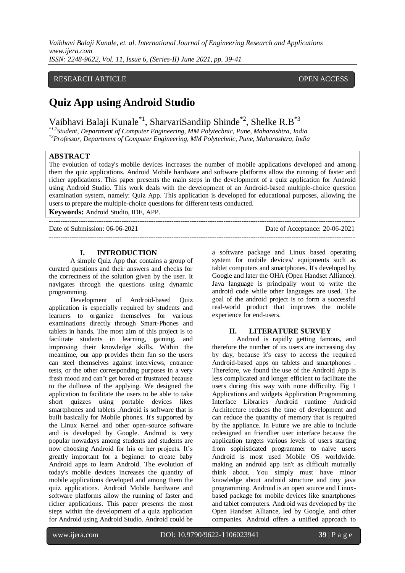*Vaibhavi Balaji Kunale, et. al. International Journal of Engineering Research and Applications www.ijera.com ISSN: 2248-9622, Vol. 11, Issue 6, (Series-II) June 2021, pp. 39-41*

## RESEARCH ARTICLE **CONSERVERS** OPEN ACCESS

# **Quiz App using Android Studio**

Vaibhavi Balaji Kunale<sup>\*1</sup>, SharvariSandiip Shinde<sup>\*2</sup>, Shelke R.B<sup>\*3</sup>

*\*1,2Student, Department of Computer Engineering, MM Polytechnic, Pune, Maharashtra, India*

*\*3Professor, Department of Computer Engineering, MM Polytechnic, Pune, Maharashtra, India*

# **ABSTRACT**

The evolution of today's mobile devices increases the number of mobile applications developed and among them the quiz applications. Android Mobile hardware and software platforms allow the running of faster and richer applications. This paper presents the main steps in the development of a quiz application for Android using Android Studio. This work deals with the development of an Android-based multiple-choice question examination system, namely: Quiz App. This application is developed for educational purposes, allowing the users to prepare the multiple-choice questions for different tests conducted.

---------------------------------------------------------------------------------------------------------------------------------------

**Keywords:** Android Studio, IDE, APP.

Date of Submission: 06-06-2021 Date of Acceptance: 20-06-2021

---------------------------------------------------------------------------------------------------------------------------------------

# **I. INTRODUCTION**

A simple Quiz App that contains a group of curated questions and their answers and checks for the correctness of the solution given by the user. It navigates through the questions using dynamic programming.

Development of Android-based Quiz application is especially required by students and learners to organize themselves for various examinations directly through Smart-Phones and tablets in hands. The most aim of this project is to facilitate students in learning, gaining, and improving their knowledge skills. Within the meantime, our app provides them fun so the users can steel themselves against interviews, entrance tests, or the other corresponding purposes in a very fresh mood and can't get bored or frustrated because to the dullness of the applying. We designed the application to facilitate the users to be able to take short quizzes using portable devices likes smartphones and tablets .Android is software that is built basically for Mobile phones. It's supported by the Linux Kernel and other open-source software and is developed by Google. Android is very popular nowadays among students and students are now choosing Android for his or her projects. It's greatly important for a beginner to create baby Android apps to learn Android. The evolution of today's mobile devices increases the quantity of mobile applications developed and among them the quiz applications. Android Mobile hardware and software platforms allow the running of faster and richer applications. This paper presents the most steps within the development of a quiz application for Android using Android Studio. Android could be a software package and Linux based operating system for mobile devices/ equipments such as tablet computers and smartphones. It's developed by Google and later the OHA (Open Handset Alliance). Java language is principally wont to write the android code while other languages are used. The goal of the android project is to form a successful real-world product that improves the mobile experience for end-users.

## **II. LITERATURE SURVEY**

Android is rapidly getting famous, and therefore the number of its users are increasing day by day, because it's easy to access the required Android-based apps on tablets and smartphones . Therefore, we found the use of the Android App is less complicated and longer efficient to facilitate the users during this way with none difficulty. Fig 1 Applications and widgets Application Programming Interface Libraries Android runtime Android Architecture reduces the time of development and can reduce the quantity of memory that is required by the appliance. In Future we are able to include redesigned an friendlier user interface because the application targets various levels of users starting from sophisticated programmer to naive users Android is most used Mobile OS worldwide. making an android app isn't as difficult mutually think about. You simply must have minor knowledge about android structure and tiny java programming. Android is an open source and Linuxbased package for mobile devices like smartphones and tablet computers. Android was developed by the Open Handset Alliance, led by Google, and other companies. Android offers a unified approach to

l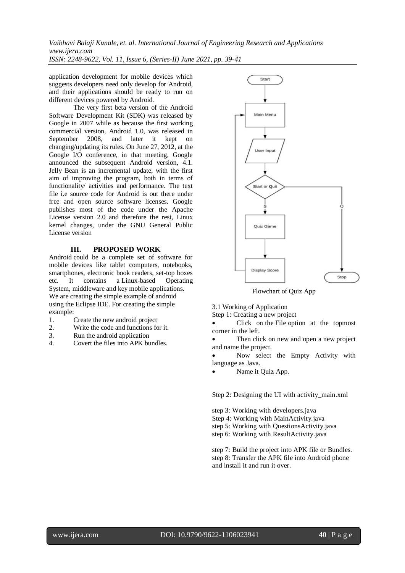*Vaibhavi Balaji Kunale, et. al. International Journal of Engineering Research and Applications www.ijera.com*

*ISSN: 2248-9622, Vol. 11, Issue 6, (Series-II) June 2021, pp. 39-41*

application development for mobile devices which suggests developers need only develop for Android, and their applications should be ready to run on different devices powered by Android.

The very first beta version of the Android Software Development Kit (SDK) was released by Google in 2007 while as because the first working commercial version, Android 1.0, was released in September 2008, and later it kept on changing/updating its rules. On June 27, 2012, at the Google I/O conference, in that meeting, Google announced the subsequent Android version, 4.1. Jelly Bean is an incremental update, with the first aim of improving the program, both in terms of functionality/ activities and performance. The text file i.e source code for Android is out there under free and open source software licenses. Google publishes most of the code under the Apache License version 2.0 and therefore the rest, Linux kernel changes, under the GNU General Public License version

## **III. PROPOSED WORK**

Android could be a complete set of software for mobile devices like tablet computers, notebooks, smartphones, electronic book readers, set-top boxes etc. It contains a Linux-based Operating System, middleware and key mobile applications. We are creating the simple example of android using the Eclipse IDE. For creating the simple example:

- 1. Create the new android project
- 2. Write the code and functions for it.
- 3. Run the android application
- 4. Covert the files into APK bundles.



Flowchart of Quiz App

3.1 Working of Application

Step 1: Creating a new project

 Click on the File option at the topmost corner in the left.

 Then click on new and open a new project and name the project.

 Now select the Empty Activity with language as Java.

Name it Quiz App.

Step 2: Designing the UI with activity\_main.xml

step 3: Working with developers.java Step 4: Working with MainActivity.java step 5: Working with QuestionsActivity.java step 6: Working with ResultActivity.java

step 7: Build the project into APK file or Bundles. step 8: Transfer the APK file into Android phone and install it and run it over.

l